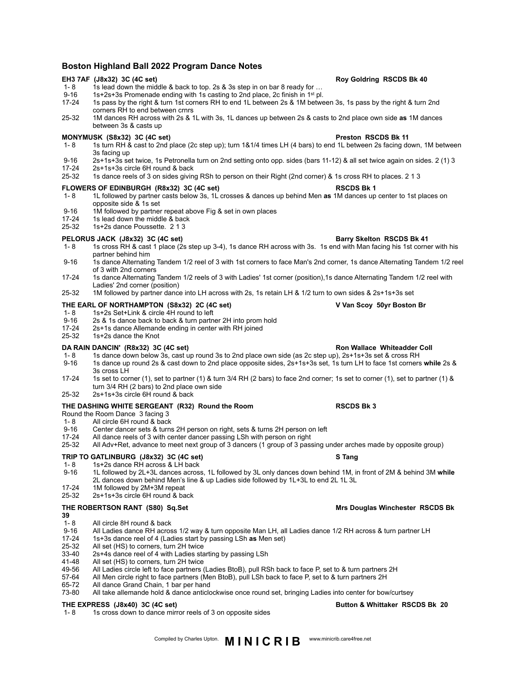# **Boston Highland Ball 2022 Program Dance Notes**

## **EH3 7AF (J8x32) 3C (4C set) Roy Goldring RSCDS Bk 40**

- 1- 8 1s lead down the middle & back to top. 2s & 3s step in on bar 8 ready for ...
- 9-16 1s+2s+3s Promenade ending with 1s casting to 2nd place, 2c finish in 1<sup>st</sup> pl.
- 17-24 1s pass by the right & turn 1st corners RH to end 1L between 2s & 1M between 3s, 1s pass by the right & turn 2nd corners RH to end between crnrs
- 25-32 1M dances RH across with 2s & 1L with 3s, 1L dances up between 2s & casts to 2nd place own side **as** 1M dances between 3s & casts up

- **MONYMUSK (S8x32) 3C (4C set)**<br>1-8 1s turn RH & cast to 2nd place (2c step up); turn 1&1/4 times LH (4 bars) to end 1L between 2s facing do 1- 8 1s turn RH & cast to 2nd place (2c step up); turn 1&1/4 times LH (4 bars) to end 1L between 2s facing down, 1M between 3s facing up
- 9-16 2s+1s+3s set twice, 1s Petronella turn on 2nd setting onto opp. sides (bars 11-12) & all set twice again on sides. 2 (1) 3<br>17-24 2s+1s+3s circle 6H round & back
- 17-24 2s+1s+3s circle 6H round & back<br>25-32 1s dance reels of 3 on sides givin
- 25-32 1s dance reels of 3 on sides giving RSh to person on their Right (2nd corner) & 1s cross RH to places. 2 1 3

## **FLOWERS OF EDINBURGH (R8x32) 3C (4C set) RSCDS Bk 1**

- 1- 8 1L followed by partner casts below 3s, 1L crosses & dances up behind Men **as** 1M dances up center to 1st places on opposite side & 1s set
- 9-16 1M followed by partner repeat above Fig & set in own places<br>17-24 1s lead down the middle & back
- 17-24 1s lead down the middle & back<br>25-32 1s+2s dance Poussette. 2 1 3
- 1s+2s dance Poussette. 2 1 3

## **PELORUS JACK (J8x32) 3C (4C set) Barry Skelton RSCDS Bk 41**

- 1- 8 1s cross RH & cast 1 place (2s step up 3-4), 1s dance RH across with 3s. 1s end with Man facing his 1st corner with his partner behind him
- 9-16 1s dance Alternating Tandem 1/2 reel of 3 with 1st corners to face Man's 2nd corner, 1s dance Alternating Tandem 1/2 reel of 3 with 2nd corners
- 17-24 1s dance Alternating Tandem 1/2 reels of 3 with Ladies' 1st corner (position),1s dance Alternating Tandem 1/2 reel with Ladies' 2nd corner (position)
- 25-32 1M followed by partner dance into LH across with 2s, 1s retain LH & 1/2 turn to own sides & 2s+1s+3s set

## **THE EARL OF NORTHAMPTON (S8x32) 2C (4C set) V Van Scoy 50yr Boston Br**

- 1- 8 1s+2s Set+Link & circle 4H round to left<br>9-16 2s & 1s dance back to back & turn partn
- 2s & 1s dance back to back & turn partner 2H into prom hold
- 17-24 2s+1s dance Allemande ending in center with RH joined<br>25-32 1s+2s dance the Knot
- 1s+2s dance the Knot

## **DA RAIN DANCIN' (R8x32) 3C (4C set) Ron Wallace Whiteadder Coll**

- 1- 8 1s dance down below 3s, cast up round 3s to 2nd place own side (as 2c step up), 2s+1s+3s set & cross RH<br>9-16 1s dance up round 2s & cast down to 2nd place opposite sides. 2s+1s+3s set. 1s turn LH to face 1st corners
- 9-16 1s dance up round 2s & cast down to 2nd place opposite sides, 2s+1s+3s set, 1s turn LH to face 1st corners **while** 2s & 3s cross LH
- 17-24 1s set to corner (1), set to partner (1) & turn 3/4 RH (2 bars) to face 2nd corner; 1s set to corner (1), set to partner (1) & turn 3/4 RH (2 bars) to 2nd place own side
- 25-32 2s+1s+3s circle 6H round & back

## **THE DASHING WHITE SERGEANT (R32) Round the Room RSCDS Bk 3**

Round the Room Dance 3 facing 3

- 1- 8 All circle 6H round & back<br>9-16 Center dancer sets & turns
- Center dancer sets & turns 2H person on right, sets & turns 2H person on left
- 17-24 All dance reels of 3 with center dancer passing LSh with person on right 15-32 All Adv+Ret, advance to meet next group of 3 pass
- 25-32 All Adv+Ret, advance to meet next group of 3 dancers (1 group of 3 passing under arches made by opposite group)

# **TRIP TO GATLINBURG (J8x32) 3C (4C set) S Tang**

- 1- 8 1s+2s dance RH across & LH back<br>9-16 1L followed by 2L+3L dances across
- 9-16 1L followed by 2L+3L dances across, 1L followed by 3L only dances down behind 1M, in front of 2M & behind 3M **while**  2L dances down behind Men's line & up Ladies side followed by 1L+3L to end 2L 1L 3L
- 17-24 1M followed by 2M+3M repeat<br>25-32 2s+1s+3s circle 6H round & ba
- 25-32 2s+1s+3s circle 6H round & back

## **THE ROBERTSON RANT (S80) Sq.Set Mrs Douglas Winchester RSCDS Bk**

- 
- **39** 1- 8 All circle 8H round & back<br>9-16 All Ladies dance RH acros
- 9-16 All Ladies dance RH across 1/2 way & turn opposite Man LH, all Ladies dance 1/2 RH across & turn partner LH<br>17-24 1s+3s dance reel of 4 (Ladies start by passing LSh as Men set)
- 17-24 1s+3s dance reel of 4 (Ladies start by passing LSh **as** Men set)
- 25-32 All set (HS) to corners, turn 2H twice<br>33-40 2s+4s dance reel of 4 with Ladies sta
- 33-40 2s+4s dance reel of 4 with Ladies starting by passing LSh<br>41-48 All set (HS) to corners, turn 2H twice
- 41-48 All set (HS) to corners, turn 2H twice<br>49-56 All Ladies circle left to face partners (
- 49-56 All Ladies circle left to face partners (Ladies BtoB), pull RSh back to face P, set to & turn partners 2H<br>57-64 All Men circle right to face partners (Men BtoB) pull I Sh back to face P set to & turn partners 2H
- 57-64 All Men circle right to face partners (Men BtoB), pull LSh back to face P, set to & turn partners 2H<br>65-72 All dance Grand Chain, 1 bar per hand
- 65-72 All dance Grand Chain, 1 bar per hand<br>73-80 All take allemande hold & dance anticlo All take allemande hold & dance anticlockwise once round set, bringing Ladies into center for bow/curtsey

## **THE EXPRESS (J8x40) 3C (4C set) Button & Whittaker RSCDS Bk 20**

1-8 1s cross down to dance mirror reels of 3 on opposite sides

# Compiled by Charles Upton. **MINICRIB** www.minicrib.care4free.net